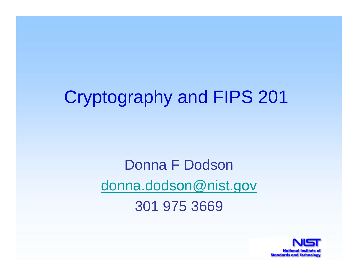# Cryptography and FIPS 201

Donna F Dodsondonna.dodson@nist.gov 301 975 3669

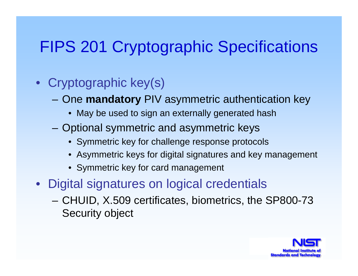#### FIPS 201 Cryptographic Specifications

#### • Cryptographic key(s)

- One **mandatory** PIV asymmetric authentication key
	- May be used to sign an externally generated hash
- Optional symmetric and asymmetric keys
	- Symmetric key for challenge response protocols
	- Asymmetric keys for digital signatures and key management
	- Symmetric key for card management
- Digital signatures on logical credentials
	- CHUID, X.509 certificates, biometrics, the SP800-73 Security object

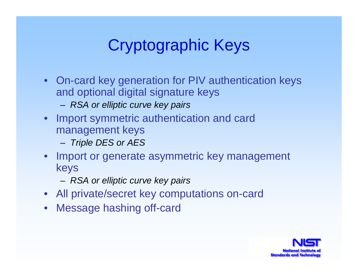## Cryptographic Keys

- On-card key generation for PIV authentication keys and optional digital signature keys
	- *RSA or elliptic curve key pairs*
- Import symmetric authentication and card management keys
	- *Triple DES or AES*
- Import or generate asymmetric key management keys
	- *RSA or elliptic curve key pairs*
- All private/secret key computations on-card
- $\bullet$ Message hashing off-card

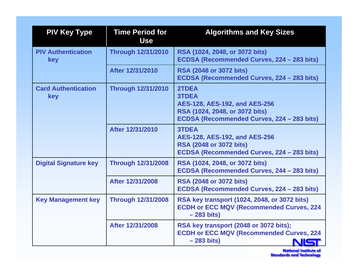| <b>PIV Key Type</b>               | <b>Time Period for</b><br><b>Use</b> | <b>Algorithms and Key Sizes</b>                                                                                                        |
|-----------------------------------|--------------------------------------|----------------------------------------------------------------------------------------------------------------------------------------|
| <b>PIV Authentication</b><br>key  | <b>Through 12/31/2010</b>            | RSA (1024, 2048, or 3072 bits)<br>ECDSA (Recommended Curves, 224 - 283 bits)                                                           |
|                                   | After 12/31/2010                     | <b>RSA (2048 or 3072 bits)</b><br>ECDSA (Recommended Curves, 224 - 283 bits)                                                           |
| <b>Card Authentication</b><br>key | <b>Through 12/31/2010</b>            | 2TDEA<br><b>3TDEA</b><br>AES-128, AES-192, and AES-256<br>RSA (1024, 2048, or 3072 bits)<br>ECDSA (Recommended Curves, 224 - 283 bits) |
|                                   | After 12/31/2010                     | <b>3TDEA</b><br>AES-128, AES-192, and AES-256<br><b>RSA (2048 or 3072 bits)</b><br>ECDSA (Recommended Curves, 224 - 283 bits)          |
| <b>Digital Signature key</b>      | <b>Through 12/31/2008</b>            | RSA (1024, 2048, or 3072 bits)<br>ECDSA (Recommended Curves, 244 – 283 bits)                                                           |
|                                   | After 12/31/2008                     | <b>RSA (2048 or 3072 bits)</b><br>ECDSA (Recommended Curves, 224 – 283 bits)                                                           |
| <b>Key Management key</b>         | <b>Through 12/31/2008</b>            | RSA key transport (1024, 2048, or 3072 bits)<br><b>ECDH or ECC MQV (Recommended Curves, 224</b><br>$-283 \text{ bits}$                 |
|                                   | After 12/31/2008                     | RSA key transport (2048 or 3072 bits);<br><b>ECDH or ECC MQV (Recommended Curves, 224</b><br>$-283 \text{ bits}$                       |

National Institute of<br>Standards and Technology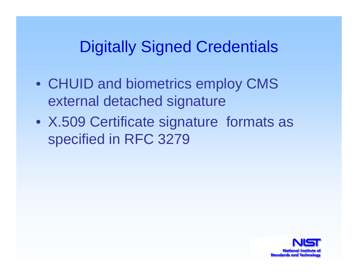#### Digitally Signed Credentials

- CHUID and biometrics employ CMS external detached signature
- X.509 Certificate signature formats as specified in RFC 3279

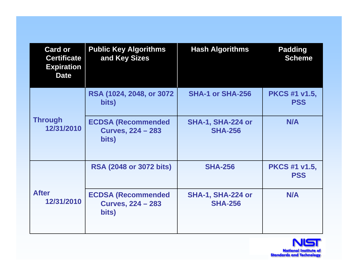| <b>Card or</b><br><b>Certificate</b><br><b>Expiration</b><br><b>Date</b> | <b>Public Key Algorithms</b><br>and Key Sizes                  | <b>Hash Algorithms</b>                     | <b>Padding</b><br><b>Scheme</b>    |
|--------------------------------------------------------------------------|----------------------------------------------------------------|--------------------------------------------|------------------------------------|
| <b>Through</b><br>12/31/2010                                             | RSA (1024, 2048, or 3072<br>bits)                              | SHA-1 or SHA-256                           | <b>PKCS #1 v1.5,</b><br><b>PSS</b> |
|                                                                          | <b>ECDSA (Recommended</b><br><b>Curves, 224 - 283</b><br>bits) | <b>SHA-1, SHA-224 or</b><br><b>SHA-256</b> | N/A                                |
| <b>After</b><br>12/31/2010                                               | <b>RSA (2048 or 3072 bits)</b>                                 | <b>SHA-256</b>                             | <b>PKCS #1 v1.5,</b><br><b>PSS</b> |
|                                                                          | <b>ECDSA (Recommended</b><br><b>Curves, 224 - 283</b><br>bits) | <b>SHA-1, SHA-224 or</b><br><b>SHA-256</b> | N/A                                |

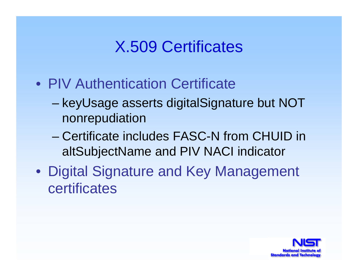#### X.509 Certificates

- •PIV Authentication Certificate
	- keyUsage asserts digitalSignature but NOT nonrepudiation
	- –Certificate includes FASC-N from CHUID in altSubjectName and PIV NACI indicator
- Digital Signature and Key Management certificates

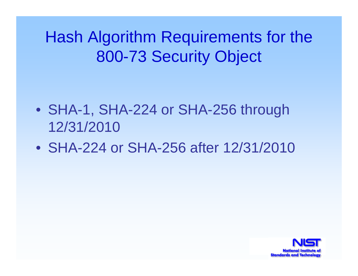Hash Algorithm Requirements for the 800-73 Security Object

- SHA-1, SHA-224 or SHA-256 through 12/31/2010
- •SHA-224 or SHA-256 after 12/31/2010

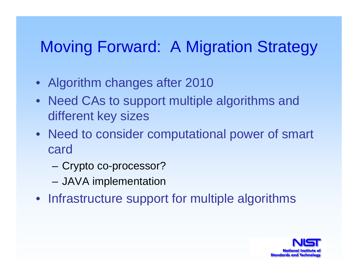## Moving Forward: A Migration Strategy

- Algorithm changes after 2010
- Need CAs to support multiple algorithms and different key sizes
- Need to consider computational power of smart card
	- Crypto co-processor?
	- JAVA implementation
- Infrastructure support for multiple algorithms

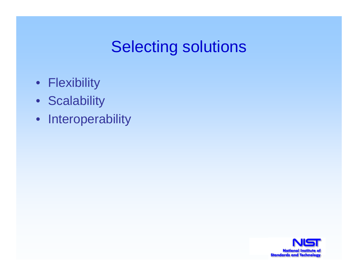#### Selecting solutions

- Flexibility
- Scalability
- •Interoperability